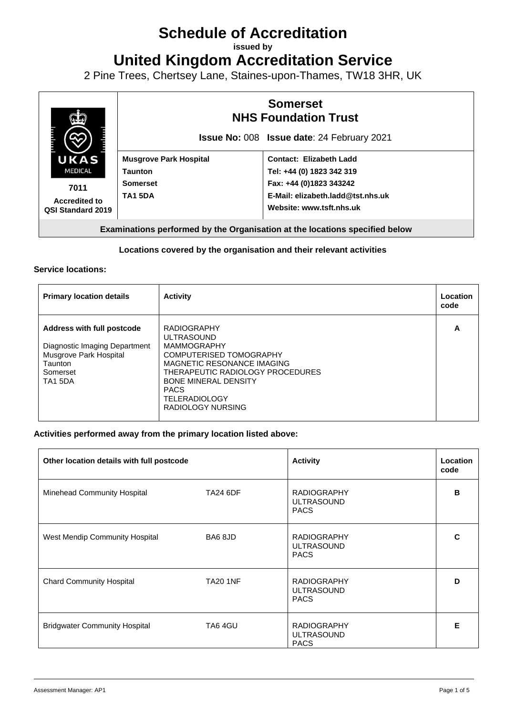# **Schedule of Accreditation**

**issued by**

**United Kingdom Accreditation Service**

2 Pine Trees, Chertsey Lane, Staines-upon-Thames, TW18 3HR, UK



### **Locations covered by the organisation and their relevant activities**

#### **Service locations:**

| <b>Primary location details</b>                                                                                                | <b>Activity</b>                                                                                                                                                                                                                                       | Location<br>code |
|--------------------------------------------------------------------------------------------------------------------------------|-------------------------------------------------------------------------------------------------------------------------------------------------------------------------------------------------------------------------------------------------------|------------------|
| <b>Address with full postcode</b><br>Diagnostic Imaging Department<br>Musgrove Park Hospital<br>Taunton<br>Somerset<br>TA1 5DA | <b>RADIOGRAPHY</b><br><b>ULTRASOUND</b><br><b>MAMMOGRAPHY</b><br>COMPUTERISED TOMOGRAPHY<br>MAGNETIC RESONANCE IMAGING<br>THERAPEUTIC RADIOLOGY PROCEDURES<br><b>BONE MINERAL DENSITY</b><br><b>PACS</b><br><b>TELERADIOLOGY</b><br>RADIOLOGY NURSING | A                |

#### **Activities performed away from the primary location listed above:**

| Other location details with full postcode |                 | <b>Activity</b>                                        | <b>Location</b><br>code |
|-------------------------------------------|-----------------|--------------------------------------------------------|-------------------------|
| Minehead Community Hospital               | <b>TA24 6DF</b> | <b>RADIOGRAPHY</b><br><b>ULTRASOUND</b><br><b>PACS</b> | B                       |
| West Mendip Community Hospital            | BA6 8JD         | <b>RADIOGRAPHY</b><br><b>ULTRASOUND</b><br><b>PACS</b> | C                       |
| <b>Chard Community Hospital</b>           | <b>TA20 1NF</b> | <b>RADIOGRAPHY</b><br><b>ULTRASOUND</b><br><b>PACS</b> | D                       |
| <b>Bridgwater Community Hospital</b>      | TA6 4GU         | <b>RADIOGRAPHY</b><br><b>ULTRASOUND</b><br><b>PACS</b> | E                       |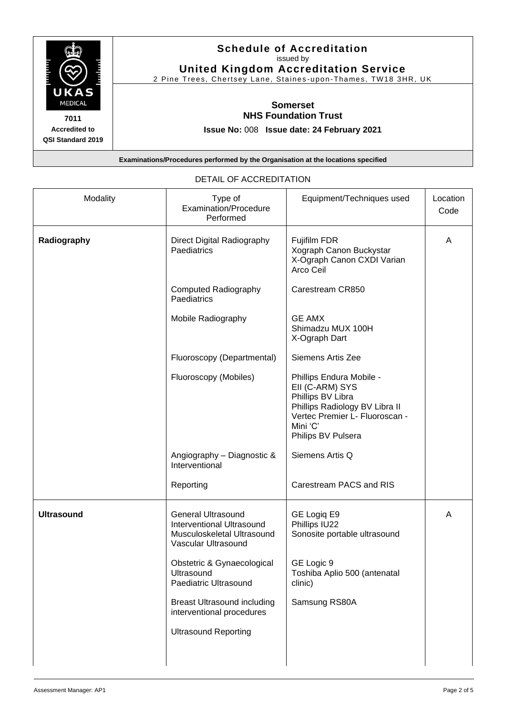

## **Schedule of Accreditation**  issued by **United Kingdom Accreditation Service**

2 Pine Trees, Chertsey Lane, Staines -upon -Thames, TW18 3HR, UK

# **Somerset NHS Foundation Trust**

**Issue No:** 008 **Issue date: 24 February 2021**

**Examinations/Procedures performed by the Organisation at the locations specified**

| Modality          | Type of<br>Examination/Procedure<br>Performed                                                                      | Equipment/Techniques used                                                                                                                                              | Location<br>Code |
|-------------------|--------------------------------------------------------------------------------------------------------------------|------------------------------------------------------------------------------------------------------------------------------------------------------------------------|------------------|
| Radiography       | Direct Digital Radiography<br>Paediatrics                                                                          | Fujifilm FDR<br>Xograph Canon Buckystar<br>X-Ograph Canon CXDI Varian<br>Arco Ceil                                                                                     | A                |
|                   | <b>Computed Radiography</b><br>Paediatrics                                                                         | Carestream CR850                                                                                                                                                       |                  |
|                   | Mobile Radiography                                                                                                 | <b>GE AMX</b><br>Shimadzu MUX 100H<br>X-Ograph Dart                                                                                                                    |                  |
|                   | Fluoroscopy (Departmental)                                                                                         | Siemens Artis Zee                                                                                                                                                      |                  |
|                   | Fluoroscopy (Mobiles)                                                                                              | Phillips Endura Mobile -<br>EII (C-ARM) SYS<br>Phillips BV Libra<br>Phillips Radiology BV Libra II<br>Vertec Premier L- Fluoroscan -<br>Mini 'C'<br>Philips BV Pulsera |                  |
|                   | Angiography - Diagnostic &<br>Interventional                                                                       | Siemens Artis Q                                                                                                                                                        |                  |
|                   | Reporting                                                                                                          | Carestream PACS and RIS                                                                                                                                                |                  |
| <b>Ultrasound</b> | <b>General Ultrasound</b><br><b>Interventional Ultrasound</b><br>Musculoskeletal Ultrasound<br>Vascular Ultrasound | GE Logiq E9<br>Phillips IU22<br>Sonosite portable ultrasound                                                                                                           | A                |
|                   | Obstetric & Gynaecological<br>Ultrasound<br>Paediatric Ultrasound                                                  | GE Logic 9<br>Toshiba Aplio 500 (antenatal<br>clinic)                                                                                                                  |                  |
|                   | <b>Breast Ultrasound including</b><br>interventional procedures                                                    | Samsung RS80A                                                                                                                                                          |                  |
|                   | <b>Ultrasound Reporting</b>                                                                                        |                                                                                                                                                                        |                  |
|                   |                                                                                                                    |                                                                                                                                                                        |                  |

#### DETAIL OF ACCREDITATION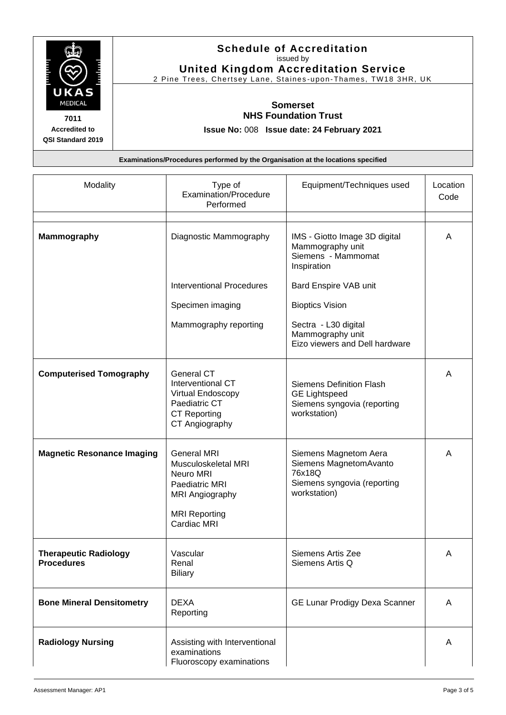

## **Schedule of Accreditation**  issued by **United Kingdom Accreditation Service**

2 Pine Trees, Chertsey Lane, Staines -upon -Thames, TW18 3HR, UK

# **Somerset NHS Foundation Trust**

**Issue No:** 008 **Issue date: 24 February 2021**

**Examinations/Procedures performed by the Organisation at the locations specified**

| Modality                                          | Type of<br>Examination/Procedure<br>Performed                                                                                      | Equipment/Techniques used                                                                                | Location<br>Code |
|---------------------------------------------------|------------------------------------------------------------------------------------------------------------------------------------|----------------------------------------------------------------------------------------------------------|------------------|
| <b>Mammography</b>                                | Diagnostic Mammography                                                                                                             | IMS - Giotto Image 3D digital<br>Mammography unit<br>Siemens - Mammomat<br>Inspiration                   | A                |
|                                                   | <b>Interventional Procedures</b>                                                                                                   | Bard Enspire VAB unit                                                                                    |                  |
|                                                   | Specimen imaging                                                                                                                   | <b>Bioptics Vision</b>                                                                                   |                  |
|                                                   | Mammography reporting                                                                                                              | Sectra - L30 digital<br>Mammography unit<br>Eizo viewers and Dell hardware                               |                  |
| <b>Computerised Tomography</b>                    | General CT<br>Interventional CT<br>Virtual Endoscopy<br>Paediatric CT<br><b>CT Reporting</b><br>CT Angiography                     | <b>Siemens Definition Flash</b><br><b>GE Lightspeed</b><br>Siemens syngovia (reporting<br>workstation)   | A                |
| <b>Magnetic Resonance Imaging</b>                 | <b>General MRI</b><br>Musculoskeletal MRI<br>Neuro MRI<br>Paediatric MRI<br>MRI Angiography<br><b>MRI Reporting</b><br>Cardiac MRI | Siemens Magnetom Aera<br>Siemens MagnetomAvanto<br>76x18Q<br>Siemens syngovia (reporting<br>workstation) | Α                |
| <b>Therapeutic Radiology</b><br><b>Procedures</b> | Vascular<br>Renal<br><b>Biliary</b>                                                                                                | Siemens Artis Zee<br>Siemens Artis Q                                                                     | A                |
| <b>Bone Mineral Densitometry</b>                  | <b>DEXA</b><br>Reporting                                                                                                           | GE Lunar Prodigy Dexa Scanner                                                                            | A                |
| <b>Radiology Nursing</b>                          | Assisting with Interventional<br>examinations<br>Fluoroscopy examinations                                                          |                                                                                                          | A                |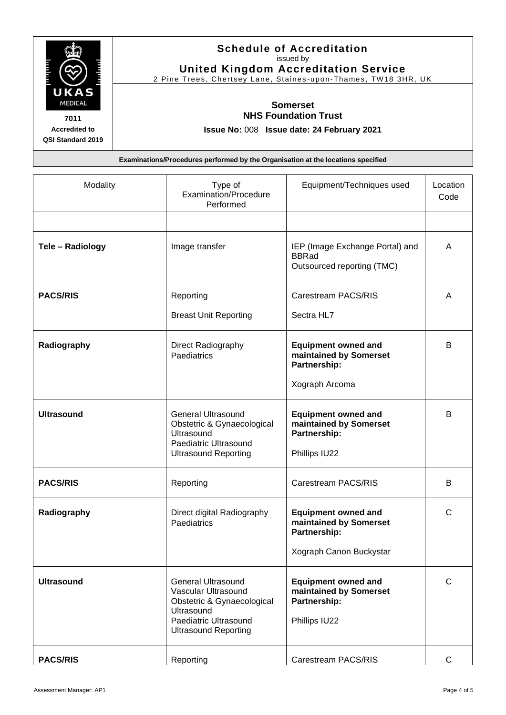

## **Schedule of Accreditation**  issued by **United Kingdom Accreditation Service**

2 Pine Trees, Chertsey Lane, Staines -upon -Thames, TW18 3HR, UK

# **Somerset NHS Foundation Trust**

**Issue No:** 008 **Issue date: 24 February 2021**

**Examinations/Procedures performed by the Organisation at the locations specified**

| Modality          | Type of<br>Examination/Procedure<br>Performed                                                                                                        | Equipment/Techniques used                                                                       | Location<br>Code |
|-------------------|------------------------------------------------------------------------------------------------------------------------------------------------------|-------------------------------------------------------------------------------------------------|------------------|
|                   |                                                                                                                                                      |                                                                                                 |                  |
| Tele - Radiology  | Image transfer                                                                                                                                       | IEP (Image Exchange Portal) and<br><b>BBRad</b><br>Outsourced reporting (TMC)                   | A                |
| <b>PACS/RIS</b>   | Reporting                                                                                                                                            | Carestream PACS/RIS                                                                             | A                |
|                   | <b>Breast Unit Reporting</b>                                                                                                                         | Sectra HL7                                                                                      |                  |
| Radiography       | Direct Radiography<br>Paediatrics                                                                                                                    | <b>Equipment owned and</b><br>maintained by Somerset<br>Partnership:                            | B                |
|                   |                                                                                                                                                      | Xograph Arcoma                                                                                  |                  |
| <b>Ultrasound</b> | <b>General Ultrasound</b><br>Obstetric & Gynaecological<br>Ultrasound<br>Paediatric Ultrasound<br><b>Ultrasound Reporting</b>                        | <b>Equipment owned and</b><br>maintained by Somerset<br>Partnership:<br>Phillips IU22           | B                |
| <b>PACS/RIS</b>   | Reporting                                                                                                                                            | Carestream PACS/RIS                                                                             | B                |
| Radiography       | Direct digital Radiography<br>Paediatrics                                                                                                            | <b>Equipment owned and</b><br>maintained by Somerset<br>Partnership:<br>Xograph Canon Buckystar | C                |
|                   |                                                                                                                                                      |                                                                                                 |                  |
| <b>Ultrasound</b> | <b>General Ultrasound</b><br>Vascular Ultrasound<br>Obstetric & Gynaecological<br>Ultrasound<br>Paediatric Ultrasound<br><b>Ultrasound Reporting</b> | <b>Equipment owned and</b><br>maintained by Somerset<br>Partnership:<br>Phillips IU22           | $\mathsf{C}$     |
| <b>PACS/RIS</b>   | Reporting                                                                                                                                            | Carestream PACS/RIS                                                                             | $\mathsf{C}$     |